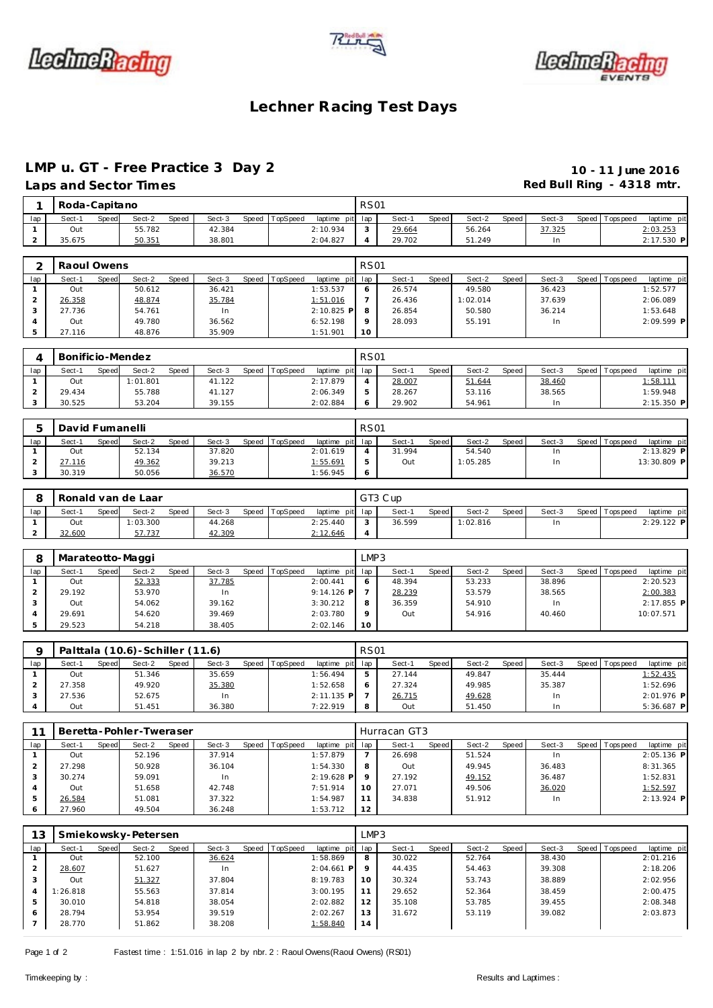





#### **Lechner Racing Test Days**

#### **LMP u. GT - Free Practice 3 Day 2 10 - 11 June 2016**

## Laps and Sector Times **Red Bull Ring - 4318 mtr. Red Bull Ring - 4318 mtr.**

|                | Roda-Capitano |       |        |       |        |       |          |             | <b>RS01</b>     |        |       |          |       |        |                |             |
|----------------|---------------|-------|--------|-------|--------|-------|----------|-------------|-----------------|--------|-------|----------|-------|--------|----------------|-------------|
| lap            | Sect-1        | Speed | Sect-2 | Speed | Sect-3 | Speed | TopSpeed | laptime pit | lap             | Sect-1 | Speed | Sect-2   | Speed | Sect-3 | Speed Topspeed | laptime pit |
|                | Out           |       | 55.782 |       | 42.384 |       |          | 2:10.934    | 3               | 29.664 |       | 56.264   |       | 37.325 |                | 2:03.253    |
|                | 35.675        |       | 50.351 |       | 38.801 |       |          | 2:04.827    | $\overline{4}$  | 29.702 |       | 51.249   |       | In     |                | 2:17.530 P  |
|                |               |       |        |       |        |       |          |             |                 |        |       |          |       |        |                |             |
| $\overline{2}$ | Raoul Owens   |       |        |       |        |       |          |             | <b>RS01</b>     |        |       |          |       |        |                |             |
| lap            | Sect-1        | Speed | Sect-2 | Speed | Sect-3 | Speed | TopSpeed | laptime pit | lap             | Sect-1 | Speed | Sect-2   | Speed | Sect-3 | Speed Topspeed | laptime pit |
|                |               |       |        |       |        |       |          |             |                 |        |       |          |       |        |                |             |
|                | Out           |       | 50.612 |       | 36.421 |       |          | 1:53.537    | 6               | 26.574 |       | 49.580   |       | 36.423 |                | 1:52.577    |
| 2              | 26.358        |       | 48.874 |       | 35.784 |       |          | 1:51.016    |                 | 26.436 |       | 1:02.014 |       | 37.639 |                | 2:06.089    |
| 3              | 27.736        |       | 54.761 |       | In     |       |          | 2:10.825 P  | 8               | 26.854 |       | 50.580   |       | 36.214 |                | 1:53.648    |
|                | Out           |       | 49.780 |       | 36.562 |       |          | 6:52.198    | $\Omega$        | 28.093 |       | 55.191   |       | In     |                |             |
| 5              | 27.116        |       | 48.876 |       | 35.909 |       |          | 1:51.901    | 10 <sup>°</sup> |        |       |          |       |        |                | 2:09.599 P  |
|                |               |       |        |       |        |       |          |             |                 |        |       |          |       |        |                |             |

|     | Bonificio-Mendez |       |          |              |        |       |          |                 | <b>RS01</b> |        |              |        |       |        |                   |                 |
|-----|------------------|-------|----------|--------------|--------|-------|----------|-----------------|-------------|--------|--------------|--------|-------|--------|-------------------|-----------------|
| lap | Sect-1           | Speed | Sect-2   | <b>Speed</b> | Sect-3 | Speed | TopSpeed | laptime pit lap |             | Sect-1 | <b>Speed</b> | Sect-2 | Speed | Sect-3 | Speed   Tops peed | laptime pit     |
|     | Out              |       | 1:01.801 |              | 41.122 |       |          | 2:17.879        |             | 28.007 |              | 51.644 |       | 38.460 |                   | <u>1:58.111</u> |
|     | 29.434           |       | 55.788   |              | 41.127 |       |          | 2:06.349        |             | 28.267 |              | 53.116 |       | 38.565 |                   | 1:59.948        |
|     | 30.525           |       | 53.204   |              | 39.155 |       |          | 2:02.884        |             | 29.902 |              | 54.961 |       |        |                   | $2:15.350$ P    |

|     | David Fumanelli |       |        |              |        |       |          |                 | <b>RS01</b> |        |       |          |         |        |           |           |              |  |
|-----|-----------------|-------|--------|--------------|--------|-------|----------|-----------------|-------------|--------|-------|----------|---------|--------|-----------|-----------|--------------|--|
| lap | Sect-1          | Speed | Sect-2 | <b>Speed</b> | Sect-3 | Speed | TopSpeed | laptime pit lap |             | Sect-1 | Speed | Sect-2   | Speed I | Sect-3 | Speed   T | Tops peed | laptime pit  |  |
|     | Out             |       | 52.134 |              | 37.820 |       |          | 2:01.619        |             | 31.994 |       | 54.540   |         |        |           |           | $2:13.829$ P |  |
|     | ∠7.116          |       | 49.362 |              | 39.213 |       |          | 1:55.691        |             | Out    |       | 1:05.285 |         |        |           |           | 13:30.809 P  |  |
|     | 30.319          |       | 50.056 |              | 36.570 |       |          | 1:56.945        |             |        |       |          |         |        |           |           |              |  |

|     |        |       | Ronald van de Laar |              |        |                |                 | GT3 Cup |       |          |       |        |                |              |
|-----|--------|-------|--------------------|--------------|--------|----------------|-----------------|---------|-------|----------|-------|--------|----------------|--------------|
| lap | Sect-1 | Speed | Sect-2             | <b>Speed</b> | Sect-3 | Speed TopSpeed | laptime pit lap | Sect-   | Speed | Sect-2   | Speed | Sect-3 | Speed Topspeed | laptime pit  |
|     | Out    |       | 1:03.300           |              | 44.268 |                | 2:25.440        | 36.599  |       | 1:02.816 |       | In     |                | $2:29.122$ P |
| -   | 32.600 |       | 57.737             |              | 42.309 |                | 2:12.646        |         |       |          |       |        |                |              |

|     | Marateotto-Maggi |       |        |       |        |       |          |                 | LMP3     |        |       |        |       |        |                |             |
|-----|------------------|-------|--------|-------|--------|-------|----------|-----------------|----------|--------|-------|--------|-------|--------|----------------|-------------|
| lap | Sect-1           | Speed | Sect-2 | Speed | Sect-3 | Speed | TopSpeed | laptime pit lap |          | Sect-1 | Speed | Sect-2 | Speed | Sect-3 | Speed Topspeed | laptime pit |
|     | Out              |       | 52.333 |       | 37.785 |       |          | 2:00.441        |          | 48.394 |       | 53.233 |       | 38.896 |                | 2:20.523    |
|     | 29.192           |       | 53.970 |       | In     |       |          | $9:14.126$ P    |          | 28.239 |       | 53.579 |       | 38.565 |                | 2:00.383    |
|     | Out              |       | 54.062 |       | 39.162 |       |          | 3:30.212        | 8        | 36.359 |       | 54.910 |       | In     |                | 2:17.855 P  |
|     | 29.691           |       | 54.620 |       | 39.469 |       |          | 2:03.780        | $\Omega$ | Out    |       | 54.916 |       | 40.460 |                | 10:07.571   |
|     | 29.523           |       | 54.218 |       | 38.405 |       |          | 2:02.146        | 10       |        |       |        |       |        |                |             |

|     |        |       | Palttala (10.6) - Schiller (11.6) |       |        |       |          |                 | <b>RS01</b> |        |              |        |       |        |                 |              |
|-----|--------|-------|-----------------------------------|-------|--------|-------|----------|-----------------|-------------|--------|--------------|--------|-------|--------|-----------------|--------------|
| lap | Sect-1 | Speed | Sect-2                            | Speed | Sect-3 | Speed | TopSpeed | laptime pit lap |             | Sect-1 | <b>Speed</b> | Sect-2 | Speed | Sect-3 | Speed Tops peed | laptime pit  |
|     | Out    |       | 51.346                            |       | 35.659 |       |          | 1:56.494        |             | 27.144 |              | 49.847 |       | 35.444 |                 | 1:52.435     |
|     | 27.358 |       | 49.920                            |       | 35.380 |       |          | 1:52.658        | 6           | 27.324 |              | 49.985 |       | 35.387 |                 | 1:52.696     |
|     | 27.536 |       | 52.675                            |       | In     |       |          | $2:11.135$ P    |             | 26.715 |              | 49.628 |       | In     |                 | $2:01.976$ P |
|     | Out    |       | 51.451                            |       | 36.380 |       |          | 7:22.919        | 8           | Out    |              | 51.450 |       | In     |                 | $5:36.687$ P |

|     |                 | Beretta-Pohler-Tweraser |                 |                             |    | Hurracan GT3      |                   |        |                               |
|-----|-----------------|-------------------------|-----------------|-----------------------------|----|-------------------|-------------------|--------|-------------------------------|
| lap | Sect-1<br>Speed | Sect-2<br>Speed         | Sect-3<br>Speed | laptime pit lap<br>TopSpeed |    | Speed I<br>Sect-1 | Speed  <br>Sect-2 | Sect-3 | laptime pit<br>Speed Topspeed |
|     | Out             | 52.196                  | 37.914          | 1:57.879                    |    | 26.698            | 51.524            | In     | $2:05.136$ P                  |
|     | 27.298          | 50.928                  | 36.104          | 1:54.330                    | 8  | Out               | 49.945            | 36.483 | 8:31.365                      |
|     | 30.274          | 59.091                  | In              | $2:19.628$ P                |    | 27.192            | 49.152            | 36.487 | 1:52.831                      |
|     | Out             | 51.658                  | 42.748          | 7:51.914                    | 10 | 27.071            | 49.506            | 36.020 | 1:52.597                      |
|     | 26.584          | 51.081                  | 37.322          | 1:54.987                    |    | 34.838            | 51.912            | In     | $2:13.924$ P                  |
| 6   | 27.960          | 49.504                  | 36.248          | 1:53.712                    | 12 |                   |                   |        |                               |

| 13  |          |       | Smiekowsky-Petersen |       |        |         |                 |                 | LMP3    |        |       |        |       |        |                 |             |
|-----|----------|-------|---------------------|-------|--------|---------|-----------------|-----------------|---------|--------|-------|--------|-------|--------|-----------------|-------------|
| lap | Sect-1   | Speed | Sect-2              | Speed | Sect-3 | Speed T | <b>TopSpeed</b> | laptime pit lap |         | Sect-1 | Speed | Sect-2 | Speed | Sect-3 | Speed Tops peed | laptime pit |
|     | Out      |       | 52.100              |       | 36.624 |         |                 | 1:58.869        | 8       | 30.022 |       | 52.764 |       | 38.430 |                 | 2:01.216    |
|     | 28.607   |       | 51.627              |       | In     |         |                 | $2:04.661$ P    | $\circ$ | 44.435 |       | 54.463 |       | 39.308 |                 | 2:18.206    |
|     | Out      |       | 51.327              |       | 37.804 |         |                 | 8:19.783        | 10      | 30.324 |       | 53.743 |       | 38.889 |                 | 2:02.956    |
|     | 1:26.818 |       | 55.563              |       | 37.814 |         |                 | 3:00.195        |         | 29.652 |       | 52.364 |       | 38.459 |                 | 2:00.475    |
|     | 30.010   |       | 54.818              |       | 38.054 |         |                 | 2:02.882        | 12      | 35.108 |       | 53.785 |       | 39.455 |                 | 2:08.348    |
| 6   | 28.794   |       | 53.954              |       | 39.519 |         |                 | 2:02.267        | 13      | 31.672 |       | 53.119 |       | 39.082 |                 | 2:03.873    |
|     | 28.770   |       | 51.862              |       | 38.208 |         |                 | 1:58.840        | 14      |        |       |        |       |        |                 |             |